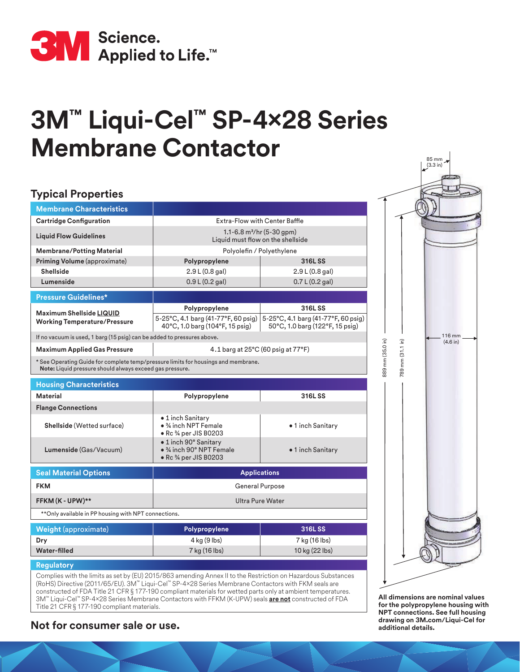

## **3M™ Liqui-Cel™ SP-4x28 Series Membrane Contactor**

### **Typical Properties**

| <b>Membrane Characteristics</b>                                                                                                                |                                                                                               |                                                                        |  |
|------------------------------------------------------------------------------------------------------------------------------------------------|-----------------------------------------------------------------------------------------------|------------------------------------------------------------------------|--|
| <b>Cartridge Configuration</b>                                                                                                                 | Extra-Flow with Center Baffle                                                                 |                                                                        |  |
| <b>Liquid Flow Guidelines</b>                                                                                                                  | 1.1-6.8 $m^3$ /hr (5-30 gpm)<br>Liquid must flow on the shellside                             |                                                                        |  |
| <b>Membrane/Potting Material</b>                                                                                                               | Polyolefin / Polyethylene                                                                     |                                                                        |  |
| Priming Volume (approximate)                                                                                                                   | Polypropylene                                                                                 | 316LSS                                                                 |  |
| <b>Shellside</b>                                                                                                                               | 2.9 L (0.8 gal)                                                                               | 2.9 L (0.8 gal)                                                        |  |
| Lumenside                                                                                                                                      | 0.9 L (0.2 gal)                                                                               | 0.7 L (0.2 gal)                                                        |  |
| <b>Pressure Guidelines*</b>                                                                                                                    |                                                                                               |                                                                        |  |
| Maximum Shellside LIQUID<br><b>Working Temperature/Pressure</b>                                                                                | Polypropylene                                                                                 | 316LSS                                                                 |  |
|                                                                                                                                                | 5-25°C, 4.1 barg (41-77°F, 60 psig)<br>40°C, 1.0 barg (104°F, 15 psig)                        | 5-25°C, 4.1 barg (41-77°F, 60 psig)<br>50°C, 1.0 barg (122°F, 15 psig) |  |
| If no vacuum is used, 1 barg (15 psig) can be added to pressures above.                                                                        |                                                                                               |                                                                        |  |
| <b>Maximum Applied Gas Pressure</b>                                                                                                            | 4.1 barg at $25^{\circ}$ C (60 psig at $77^{\circ}$ F)                                        |                                                                        |  |
| * See Operating Guide for complete temp/pressure limits for housings and membrane.<br>Note: Liquid pressure should always exceed gas pressure. |                                                                                               |                                                                        |  |
| <b>Housing Characteristics</b>                                                                                                                 |                                                                                               |                                                                        |  |
| <b>Material</b>                                                                                                                                | Polypropylene                                                                                 | 316LSS                                                                 |  |
| <b>Flange Connections</b>                                                                                                                      |                                                                                               |                                                                        |  |
| Shellside (Wetted surface)                                                                                                                     | • 1 inch Sanitary<br>$\bullet$ % inch NPT Female<br>· Rc 3/4 per JIS B0203                    | • 1 inch Sanitary                                                      |  |
| Lumenside (Gas/Vacuum)                                                                                                                         | $\bullet$ 1 inch 90 $\degree$ Sanitary<br>● 3⁄4 inch 90° NPT Female<br>• Rc 3⁄4 per JIS B0203 | • 1 inch Sanitary                                                      |  |
| <b>Seal Material Options</b>                                                                                                                   | <b>Applications</b>                                                                           |                                                                        |  |
| <b>FKM</b>                                                                                                                                     | <b>General Purpose</b>                                                                        |                                                                        |  |
| FFKM (K - UPW)**                                                                                                                               | <b>Ultra Pure Water</b>                                                                       |                                                                        |  |
| ** Only available in PP housing with NPT connections.                                                                                          |                                                                                               |                                                                        |  |

| Polypropylene | 316LSS         |  |
|---------------|----------------|--|
| 4 kg (9 lbs)  | 7 kg (16 lbs)  |  |
| 7 kg (16 lbs) | 10 kg (22 lbs) |  |
|               |                |  |

#### **Regulatory**

Complies with the limits as set by (EU) 2015/863 amending Annex II to the Restriction on Hazardous Substances (RoHS) Directive (2011/65/EU). 3M™ Liqui-Cel™ SP-4×28 Series Membrane Contactors with FKM seals are constructed of FDA Title 21 CFR § 177-190 compliant materials for wetted parts only at ambient temperatures. 3M™ Liqui-Cel™ SP-4×28 Series Membrane Contactors with FFKM (K-UPW) seals **are not** constructed of FDA Title 21 CFR § 177-190 compliant materials.

# 116 mm mm (35.0 in) 889 mm (35.0 in) mm (31.1 in) (4.6 in) 789 mm (31.1 in) 889 789

85 mm (3.3 in)

**All dimensions are nominal values for the polypropylene housing with NPT connections. See full housing** 

### **drawing on 3M.com/Liquid-Cel for consumer sale or use. additional details.**